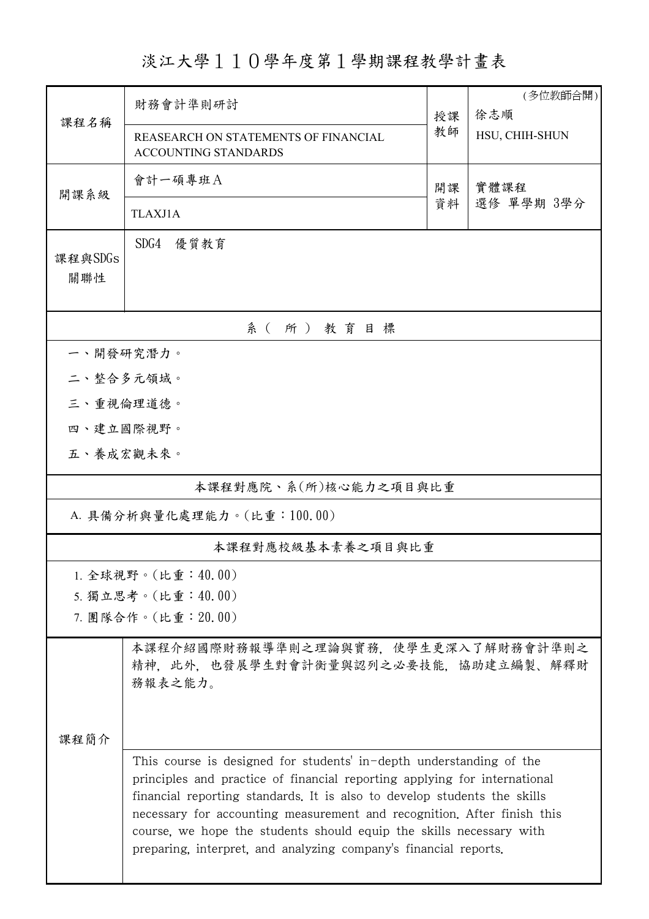淡江大學110學年度第1學期課程教學計畫表

| 課程名稱                       | 財務會計準則研討                                                                                                                                                                                                                                                                                                                                                                                                                                           |          | (多位教師合開)<br>徐志順 |  |  |  |  |  |  |
|----------------------------|----------------------------------------------------------------------------------------------------------------------------------------------------------------------------------------------------------------------------------------------------------------------------------------------------------------------------------------------------------------------------------------------------------------------------------------------------|----------|-----------------|--|--|--|--|--|--|
|                            | REASEARCH ON STATEMENTS OF FINANCIAL<br><b>ACCOUNTING STANDARDS</b>                                                                                                                                                                                                                                                                                                                                                                                | 教師       | HSU, CHIH-SHUN  |  |  |  |  |  |  |
| 開課系級                       | 會計一碩專班A                                                                                                                                                                                                                                                                                                                                                                                                                                            | 開課<br>資料 | 實體課程            |  |  |  |  |  |  |
|                            | <b>TLAXJ1A</b>                                                                                                                                                                                                                                                                                                                                                                                                                                     |          | 選修 單學期 3學分      |  |  |  |  |  |  |
| 課程與SDGs<br>關聯性             | SDG4<br>優質教育                                                                                                                                                                                                                                                                                                                                                                                                                                       |          |                 |  |  |  |  |  |  |
| 系(所)教育目標                   |                                                                                                                                                                                                                                                                                                                                                                                                                                                    |          |                 |  |  |  |  |  |  |
| 一、開發研究潛力。                  |                                                                                                                                                                                                                                                                                                                                                                                                                                                    |          |                 |  |  |  |  |  |  |
| 二、整合多元領域。                  |                                                                                                                                                                                                                                                                                                                                                                                                                                                    |          |                 |  |  |  |  |  |  |
| 三、重視倫理道德。                  |                                                                                                                                                                                                                                                                                                                                                                                                                                                    |          |                 |  |  |  |  |  |  |
| 四、建立國際視野。                  |                                                                                                                                                                                                                                                                                                                                                                                                                                                    |          |                 |  |  |  |  |  |  |
| 五、養成宏觀未來。                  |                                                                                                                                                                                                                                                                                                                                                                                                                                                    |          |                 |  |  |  |  |  |  |
| 本課程對應院、系(所)核心能力之項目與比重      |                                                                                                                                                                                                                                                                                                                                                                                                                                                    |          |                 |  |  |  |  |  |  |
| A. 具備分析與量化處理能力。(比重:100.00) |                                                                                                                                                                                                                                                                                                                                                                                                                                                    |          |                 |  |  |  |  |  |  |
| 本課程對應校級基本素養之項目與比重          |                                                                                                                                                                                                                                                                                                                                                                                                                                                    |          |                 |  |  |  |  |  |  |
| 1. 全球視野。(比重:40.00)         |                                                                                                                                                                                                                                                                                                                                                                                                                                                    |          |                 |  |  |  |  |  |  |
| 5. 獨立思考。(比重:40.00)         |                                                                                                                                                                                                                                                                                                                                                                                                                                                    |          |                 |  |  |  |  |  |  |
|                            | 7. 團隊合作。(比重: 20.00)                                                                                                                                                                                                                                                                                                                                                                                                                                |          |                 |  |  |  |  |  |  |
|                            | 本課程介紹國際財務報導準則之理論與實務,使學生更深入了解財務會計準則之<br>精神, 此外, 也發展學生對會計衡量與認列之必要技能, 協助建立編製、解釋財<br>務報表之能力。                                                                                                                                                                                                                                                                                                                                                           |          |                 |  |  |  |  |  |  |
| 课程简介                       |                                                                                                                                                                                                                                                                                                                                                                                                                                                    |          |                 |  |  |  |  |  |  |
|                            | This course is designed for students' in-depth understanding of the<br>principles and practice of financial reporting applying for international<br>financial reporting standards. It is also to develop students the skills<br>necessary for accounting measurement and recognition. After finish this<br>course, we hope the students should equip the skills necessary with<br>preparing, interpret, and analyzing company's financial reports. |          |                 |  |  |  |  |  |  |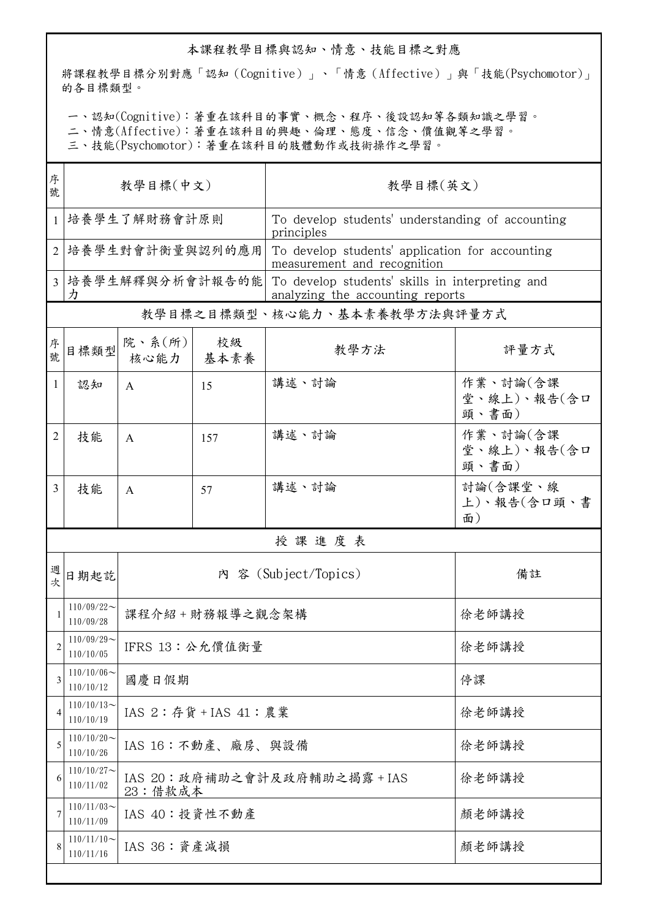## 本課程教學目標與認知、情意、技能目標之對應

將課程教學目標分別對應「認知(Cognitive)」、「情意(Affective)」與「技能(Psychomotor)」 的各目標類型。

一、認知(Cognitive):著重在該科目的事實、概念、程序、後設認知等各類知識之學習。

二、情意(Affective):著重在該科目的興趣、倫理、態度、信念、價值觀等之學習。

三、技能(Psychomotor):著重在該科目的肢體動作或技術操作之學習。

| 序<br>號       | 教學目標(中文)                     |                      |                               | 教學目標(英文)                                                                            |                                  |  |  |  |  |
|--------------|------------------------------|----------------------|-------------------------------|-------------------------------------------------------------------------------------|----------------------------------|--|--|--|--|
| $\mathbf{1}$ | 培養學生了解財務會計原則                 |                      |                               | To develop students' understanding of accounting<br>principles                      |                                  |  |  |  |  |
|              | 培養學生對會計衡量與認列的應用              |                      |                               | To develop students' application for accounting<br>measurement and recognition      |                                  |  |  |  |  |
| 3            | 培養學生解釋與分析會計報告的能<br>力         |                      |                               | To develop students' skills in interpreting and<br>analyzing the accounting reports |                                  |  |  |  |  |
|              | 教學目標之目標類型、核心能力、基本素養教學方法與評量方式 |                      |                               |                                                                                     |                                  |  |  |  |  |
| 序號           | 目標類型                         | 院、系(所)<br>核心能力       | 校級<br>基本素養                    | 教學方法                                                                                | 評量方式                             |  |  |  |  |
| 1            | 認知                           | A                    | 15                            | 講述、討論                                                                               | 作業、討論(含課<br>堂、線上)、報告(含口<br>頭、書面) |  |  |  |  |
| 2            | 技能                           | A                    | 157                           | 講述、討論                                                                               | 作業、討論(含課<br>堂、線上)、報告(含口<br>頭、書面) |  |  |  |  |
| 3            | 技能                           | $\mathsf{A}$         | 57                            | 講述、討論                                                                               | 討論(含課堂、線<br>上)、報告(含口頭、書<br>面)    |  |  |  |  |
|              | 授課進度表                        |                      |                               |                                                                                     |                                  |  |  |  |  |
| 週<br>次       | 日期起訖                         | 內 容 (Subject/Topics) |                               |                                                                                     | 備註                               |  |  |  |  |
|              | $110/09/22$ ~<br>110/09/28   |                      | 課程介紹+財務報導之觀念架構                | 徐老師講授                                                                               |                                  |  |  |  |  |
|              | $110/09/29$ ~<br>110/10/05   |                      | IFRS 13: 公允價值衡量               | 徐老師講授                                                                               |                                  |  |  |  |  |
| 3            | $110/10/06$ ~<br>110/10/12   | 國慶日假期                |                               | 停課                                                                                  |                                  |  |  |  |  |
| 4            | $110/10/13$ ~<br>110/10/19   |                      | IAS 2:存貨 + IAS 41:農業          | 徐老師講授                                                                               |                                  |  |  |  |  |
| 5            | $110/10/20$ ~<br>110/10/26   |                      | IAS 16: 不動產、廠房、與設備            | 徐老師講授                                                                               |                                  |  |  |  |  |
| 6            | $110/10/27$ ~<br>110/11/02   | 23: 借款成本             | IAS 20: 政府補助之會計及政府輔助之揭露 + IAS | 徐老師講授                                                                               |                                  |  |  |  |  |
| 7            | $110/11/03$ ~<br>110/11/09   | IAS 40: 投資性不動產       |                               | 顏老師講授                                                                               |                                  |  |  |  |  |
| 8            | $110/11/10$ ~<br>110/11/16   | IAS 36: 資產減損         |                               | 顏老師講授                                                                               |                                  |  |  |  |  |
|              |                              |                      |                               |                                                                                     |                                  |  |  |  |  |